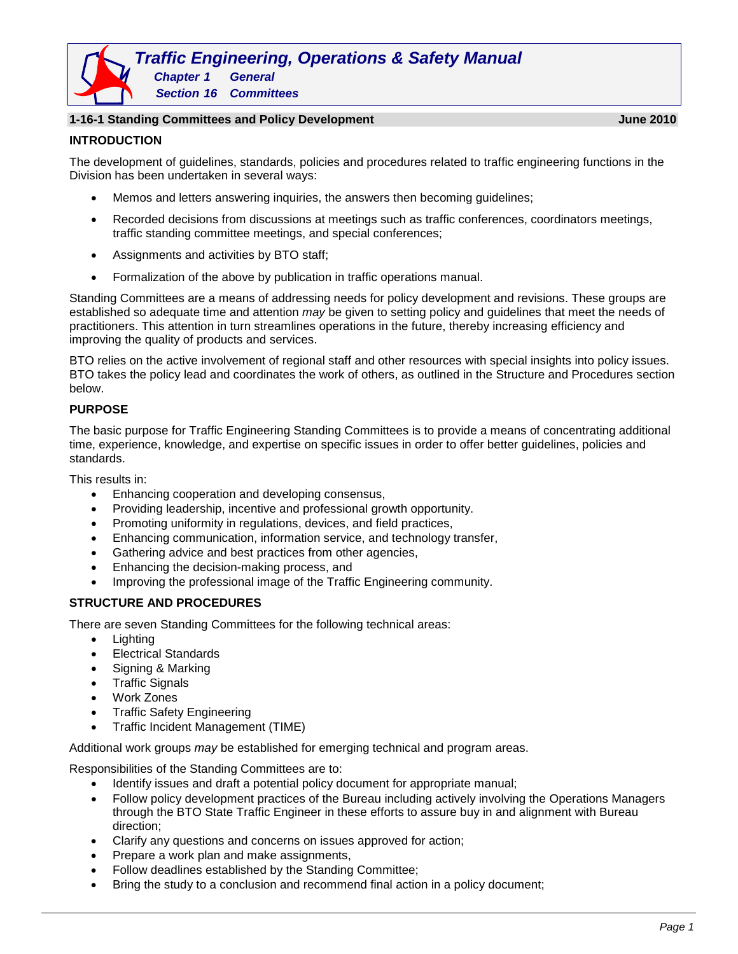# *Traffic Engineering, Operations & Safety Manual Chapter 1 General*

*Section 16 Committees*

### **1-16-1 Standing Committees and Policy Development June 2010**

#### **INTRODUCTION**

The development of guidelines, standards, policies and procedures related to traffic engineering functions in the Division has been undertaken in several ways:

- Memos and letters answering inquiries, the answers then becoming guidelines;
- Recorded decisions from discussions at meetings such as traffic conferences, coordinators meetings, traffic standing committee meetings, and special conferences;
- Assignments and activities by BTO staff;
- Formalization of the above by publication in traffic operations manual.

Standing Committees are a means of addressing needs for policy development and revisions. These groups are established so adequate time and attention *may* be given to setting policy and guidelines that meet the needs of practitioners. This attention in turn streamlines operations in the future, thereby increasing efficiency and improving the quality of products and services.

BTO relies on the active involvement of regional staff and other resources with special insights into policy issues. BTO takes the policy lead and coordinates the work of others, as outlined in the Structure and Procedures section below.

# **PURPOSE**

The basic purpose for Traffic Engineering Standing Committees is to provide a means of concentrating additional time, experience, knowledge, and expertise on specific issues in order to offer better guidelines, policies and standards.

This results in:

- Enhancing cooperation and developing consensus,
- Providing leadership, incentive and professional growth opportunity.
- Promoting uniformity in regulations, devices, and field practices,
- Enhancing communication, information service, and technology transfer,
- Gathering advice and best practices from other agencies,
- Enhancing the decision-making process, and
- Improving the professional image of the Traffic Engineering community.

# **STRUCTURE AND PROCEDURES**

There are seven Standing Committees for the following technical areas:

- Lighting
- Electrical Standards
- Signing & Marking
- Traffic Signals
- Work Zones
- Traffic Safety Engineering
- Traffic Incident Management (TIME)

Additional work groups *may* be established for emerging technical and program areas.

Responsibilities of the Standing Committees are to:

- Identify issues and draft a potential policy document for appropriate manual;
- Follow policy development practices of the Bureau including actively involving the Operations Managers through the BTO State Traffic Engineer in these efforts to assure buy in and alignment with Bureau direction;
- Clarify any questions and concerns on issues approved for action;
- Prepare a work plan and make assignments,
- Follow deadlines established by the Standing Committee;
- Bring the study to a conclusion and recommend final action in a policy document;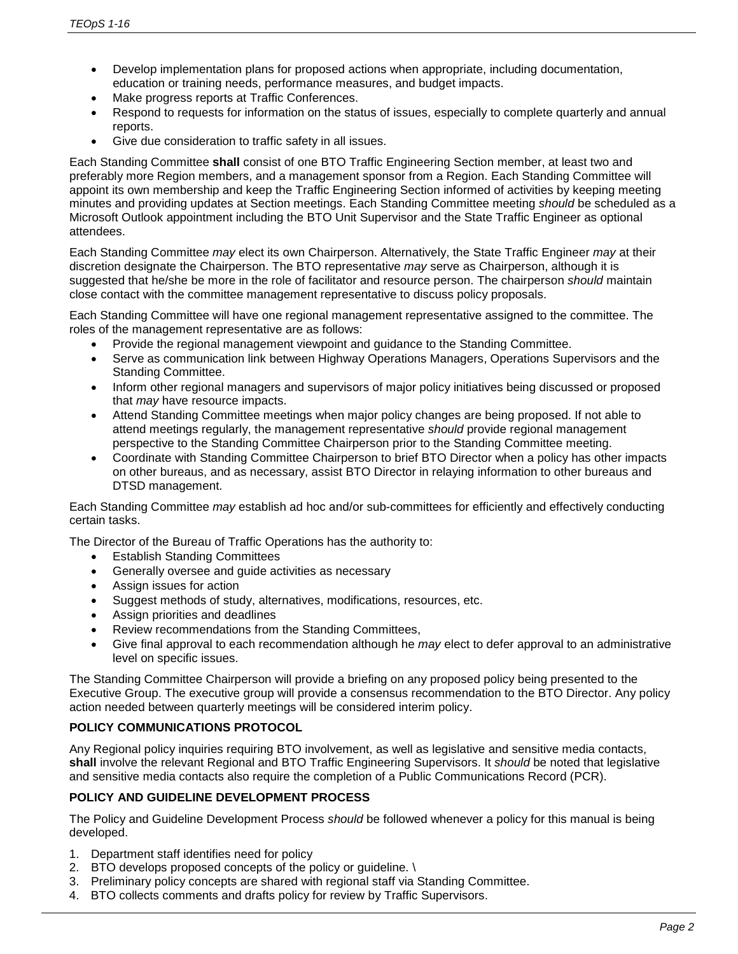- Develop implementation plans for proposed actions when appropriate, including documentation, education or training needs, performance measures, and budget impacts.
- Make progress reports at Traffic Conferences.
- Respond to requests for information on the status of issues, especially to complete quarterly and annual reports.
- Give due consideration to traffic safety in all issues.

Each Standing Committee **shall** consist of one BTO Traffic Engineering Section member, at least two and preferably more Region members, and a management sponsor from a Region. Each Standing Committee will appoint its own membership and keep the Traffic Engineering Section informed of activities by keeping meeting minutes and providing updates at Section meetings. Each Standing Committee meeting *should* be scheduled as a Microsoft Outlook appointment including the BTO Unit Supervisor and the State Traffic Engineer as optional attendees.

Each Standing Committee *may* elect its own Chairperson. Alternatively, the State Traffic Engineer *may* at their discretion designate the Chairperson. The BTO representative *may* serve as Chairperson, although it is suggested that he/she be more in the role of facilitator and resource person. The chairperson *should* maintain close contact with the committee management representative to discuss policy proposals.

Each Standing Committee will have one regional management representative assigned to the committee. The roles of the management representative are as follows:

- Provide the regional management viewpoint and guidance to the Standing Committee.
- Serve as communication link between Highway Operations Managers, Operations Supervisors and the Standing Committee.
- Inform other regional managers and supervisors of major policy initiatives being discussed or proposed that *may* have resource impacts.
- Attend Standing Committee meetings when major policy changes are being proposed. If not able to attend meetings regularly, the management representative *should* provide regional management perspective to the Standing Committee Chairperson prior to the Standing Committee meeting.
- Coordinate with Standing Committee Chairperson to brief BTO Director when a policy has other impacts on other bureaus, and as necessary, assist BTO Director in relaying information to other bureaus and DTSD management.

Each Standing Committee *may* establish ad hoc and/or sub-committees for efficiently and effectively conducting certain tasks.

The Director of the Bureau of Traffic Operations has the authority to:

- Establish Standing Committees
- Generally oversee and guide activities as necessary
- Assign issues for action
- Suggest methods of study, alternatives, modifications, resources, etc.
- Assign priorities and deadlines
- Review recommendations from the Standing Committees,
- Give final approval to each recommendation although he *may* elect to defer approval to an administrative level on specific issues.

The Standing Committee Chairperson will provide a briefing on any proposed policy being presented to the Executive Group. The executive group will provide a consensus recommendation to the BTO Director. Any policy action needed between quarterly meetings will be considered interim policy.

# **POLICY COMMUNICATIONS PROTOCOL**

Any Regional policy inquiries requiring BTO involvement, as well as legislative and sensitive media contacts, **shall** involve the relevant Regional and BTO Traffic Engineering Supervisors. It *should* be noted that legislative and sensitive media contacts also require the completion of a Public Communications Record (PCR).

# **POLICY AND GUIDELINE DEVELOPMENT PROCESS**

The Policy and Guideline Development Process *should* be followed whenever a policy for this manual is being developed.

- 1. Department staff identifies need for policy
- 2. BTO develops proposed concepts of the policy or guideline. \
- 3. Preliminary policy concepts are shared with regional staff via Standing Committee.
- 4. BTO collects comments and drafts policy for review by Traffic Supervisors.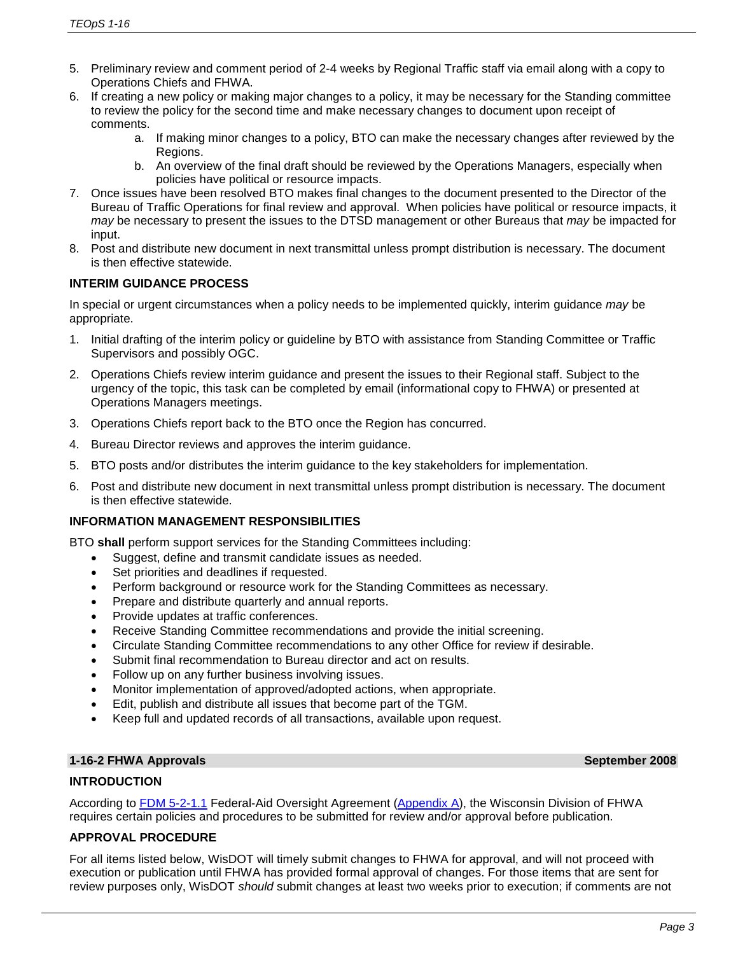- 5. Preliminary review and comment period of 2-4 weeks by Regional Traffic staff via email along with a copy to Operations Chiefs and FHWA.
- 6. If creating a new policy or making major changes to a policy, it may be necessary for the Standing committee to review the policy for the second time and make necessary changes to document upon receipt of comments.
	- a. If making minor changes to a policy, BTO can make the necessary changes after reviewed by the Regions.
	- b. An overview of the final draft should be reviewed by the Operations Managers, especially when policies have political or resource impacts.
- 7. Once issues have been resolved BTO makes final changes to the document presented to the Director of the Bureau of Traffic Operations for final review and approval. When policies have political or resource impacts, it *may* be necessary to present the issues to the DTSD management or other Bureaus that *may* be impacted for input.
- 8. Post and distribute new document in next transmittal unless prompt distribution is necessary. The document is then effective statewide.

# **INTERIM GUIDANCE PROCESS**

In special or urgent circumstances when a policy needs to be implemented quickly, interim guidance *may* be appropriate.

- 1. Initial drafting of the interim policy or guideline by BTO with assistance from Standing Committee or Traffic Supervisors and possibly OGC.
- 2. Operations Chiefs review interim guidance and present the issues to their Regional staff. Subject to the urgency of the topic, this task can be completed by email (informational copy to FHWA) or presented at Operations Managers meetings.
- 3. Operations Chiefs report back to the BTO once the Region has concurred.
- 4. Bureau Director reviews and approves the interim guidance.
- 5. BTO posts and/or distributes the interim guidance to the key stakeholders for implementation.
- 6. Post and distribute new document in next transmittal unless prompt distribution is necessary. The document is then effective statewide.

# **INFORMATION MANAGEMENT RESPONSIBILITIES**

BTO **shall** perform support services for the Standing Committees including:

- Suggest, define and transmit candidate issues as needed.
- Set priorities and deadlines if requested.
- Perform background or resource work for the Standing Committees as necessary.
- Prepare and distribute quarterly and annual reports.
- Provide updates at traffic conferences.
- Receive Standing Committee recommendations and provide the initial screening.
- Circulate Standing Committee recommendations to any other Office for review if desirable.
- Submit final recommendation to Bureau director and act on results.
- Follow up on any further business involving issues.
- Monitor implementation of approved/adopted actions, when appropriate.
- Edit, publish and distribute all issues that become part of the TGM.
- Keep full and updated records of all transactions, available upon request.

#### **1-16-2 FHWA Approvals September 2008**

#### **INTRODUCTION**

According to [FDM 5-2-1.1](http://wisconsindot.gov/rdwy/fdm/fd-05-02.pdf#fd5-2-1.1) Federal-Aid Oversight Agreement [\(Appendix A\)](http://www.fhwa.dot.gov/federalaid/stewardship/agreements/wi.pdf), the Wisconsin Division of FHWA requires certain policies and procedures to be submitted for review and/or approval before publication.

#### **APPROVAL PROCEDURE**

For all items listed below, WisDOT will timely submit changes to FHWA for approval, and will not proceed with execution or publication until FHWA has provided formal approval of changes. For those items that are sent for review purposes only, WisDOT *should* submit changes at least two weeks prior to execution; if comments are not